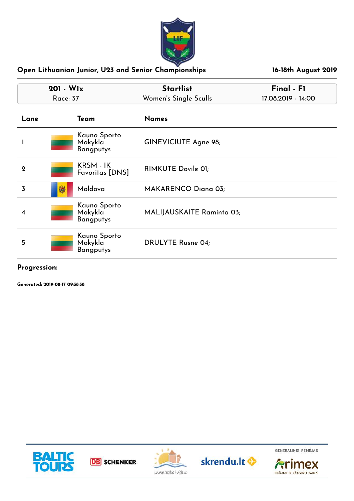

| $201 - W1x$<br><b>Race: 37</b> |                                             | <b>Startlist</b><br>Women's Single Sculls | Final - F1<br>17.08.2019 - 14:00 |  |
|--------------------------------|---------------------------------------------|-------------------------------------------|----------------------------------|--|
| Lane                           | Team                                        | <b>Names</b>                              |                                  |  |
|                                | Kauno Sporto<br>Mokykla<br><b>Bangputys</b> | GINEVICIUTE Agne 98;                      |                                  |  |
| $\mathbf 2$                    | KRSM - IK<br><b>Favoritas [DNS]</b>         | RIMKUTE Dovile 01;                        |                                  |  |
| 3                              | Moldova<br>孏                                | <b>MAKARENCO Diana 03;</b>                |                                  |  |
| 4                              | Kauno Sporto<br>Mokykla<br><b>Bangputys</b> | MALIJAUSKAITE Raminta 03;                 |                                  |  |
| 5                              | Kauno Sporto<br>Mokykla<br><b>Bangputys</b> | <b>DRULYTE Rusne 04;</b>                  |                                  |  |

**Progression:**

**Generated: 2019-08-17 09:38:38**



**DB** SCHENKER





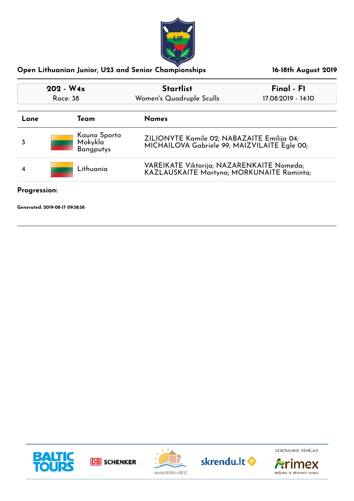

| $202 - W4x$<br>Race: 38<br>Team<br>Lane |                                             | <b>Startlist</b><br>Women's Quadruple Sculls                                               | Final - F1<br>17.08.2019 - 14:10 |  |
|-----------------------------------------|---------------------------------------------|--------------------------------------------------------------------------------------------|----------------------------------|--|
|                                         |                                             | <b>Names</b>                                                                               |                                  |  |
| 3                                       | Kauno Sporto<br>Mokykla<br><b>Bangputys</b> | ZILIONYTE Kamile 02; NABAZAITE Emilija 04;<br>MICHAILOVA Gabriele 99; MAIZVILAITE Egle 00; |                                  |  |
|                                         | Lithuania                                   | VAREIKATE Viktorija; NAZARENKAITE Nomeda;<br>KAZLAUSKAITE Martyna; MORKUNAITE Raminta;     |                                  |  |

**Progression:**

**Generated: 2019-08-17 09:38:38**









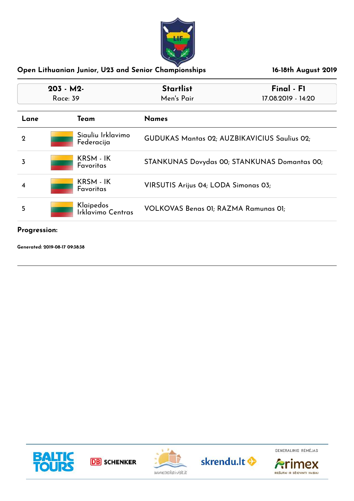

| $203 - M2$  |          |                                 | <b>Startlist</b><br>Final - F1               |                    |
|-------------|----------|---------------------------------|----------------------------------------------|--------------------|
|             | Race: 39 |                                 | Men's Pair                                   | 17.08.2019 - 14:20 |
| Lane        |          | Team                            | <b>Names</b>                                 |                    |
| $\mathbf 2$ |          | Siauliu Irklavimo<br>Federacija | GUDUKAS Mantas 02; AUZBIKAVICIUS Saulius 02; |                    |
| 3           |          | KRSM - IK<br>Favoritas          | STANKUNAS Dovydas 00; STANKUNAS Domantas 00; |                    |
| 4           |          | KRSM - IK<br><b>Favoritas</b>   | VIRSUTIS Arijus 04; LODA Simonas 03;         |                    |
| 5           |          | Klaipedos<br>Irklavimo Centras  | VOLKOVAS Benas 01; RAZMA Ramunas 01;         |                    |

#### **Progression:**

**Generated: 2019-08-17 09:38:38**



**DB** SCHENKER





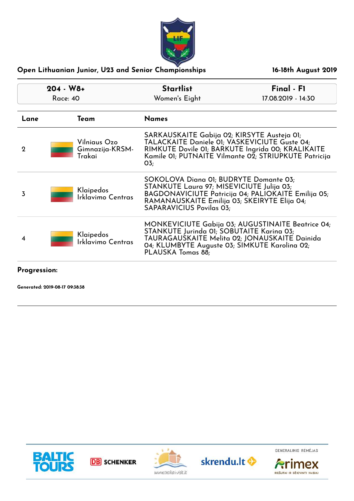

| $204 - W8 +$<br>Race: 40 |                                           | <b>Startlist</b><br>Women's Eight                                                                                                                                                                                             | Final - F1<br>17.08.2019 - 14:30                                                                           |
|--------------------------|-------------------------------------------|-------------------------------------------------------------------------------------------------------------------------------------------------------------------------------------------------------------------------------|------------------------------------------------------------------------------------------------------------|
|                          |                                           |                                                                                                                                                                                                                               |                                                                                                            |
| Lane                     | Team                                      | <b>Names</b>                                                                                                                                                                                                                  |                                                                                                            |
| $\mathbf 2$              | Vilniaus Ozo<br>Gimnazija-KRSM-<br>Trakai | SARKAUSKAITE Gabija 02; KIRSYTE Austeja 01;<br>TALACKAITE Daniele 01; VASKEVICIUTE Guste 04;<br>$O_{5}$                                                                                                                       | RIMKUTE Dovile 01; BARKUTE Ingrida 00; KRALIKAITE<br>Kamile 01; PUTNAITE Vilmante 02; STRIUPKUTE Patricija |
| 3                        | Klaipedos<br>Irklavimo Centras            | SOKOLOVA Diana 01; BUDRYTE Domante 03;<br>STANKUTE Laura 97; MISEVICIUTE Julija 03;<br>BAGDONAVICIUTE Patricija 04; PALIOKAITE Emilija 05;<br>RAMANAUSKAITE Emilija 03; SKEIRYTE Elija 04;<br><b>SAPARAVICIUS Povilas 03;</b> |                                                                                                            |
| 4                        | Klaipedos<br>Irklavimo Centras            | MONKEVICIUTE Gabija 03; AUGUSTINAITE Beatrice 04;<br>STANKUTE Jurinda 01; SOBUTAITE Karina 03;<br>TAURAGAUSKAITE Melita 02; JONAUSKAITE Dainida<br>04; KLUMBYTE Auguste 03; SIMKUTE Karolina 02;<br>PLAUSKA Tomas 88;         |                                                                                                            |
|                          |                                           |                                                                                                                                                                                                                               |                                                                                                            |

#### **Progression:**

**Generated: 2019-08-17 09:38:38**







skrendu.lt <br/>
<sup>O</sup>



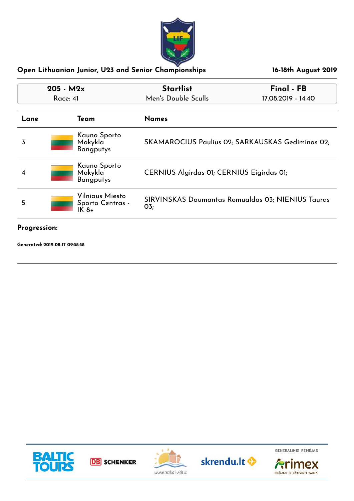

| $205 - M2x$<br>Race: 41      |                                              | <b>Startlist</b><br>Final - FB<br>Men's Double Sculls<br>17.08.2019 - 14:40 |  |
|------------------------------|----------------------------------------------|-----------------------------------------------------------------------------|--|
| <b>Names</b><br>Team<br>Lane |                                              |                                                                             |  |
| 3                            | Kauno Sporto<br>Mokykla<br><b>Bangputys</b>  | SKAMAROCIUS Paulius 02; SARKAUSKAS Gediminas 02;                            |  |
|                              | Kauno Sporto<br>Mokykla<br><b>Bangputys</b>  | CERNIUS Algirdas 01; CERNIUS Eigirdas 01;                                   |  |
| 5                            | Vilniaus Miesto<br>Sporto Centras -<br>IK 8+ | SIRVINSKAS Daumantas Romualdas 03; NIENIUS Tauras<br>O <sub>3</sub>         |  |

#### **Progression:**

**Generated: 2019-08-17 09:38:38**



**DB** SCHENKER





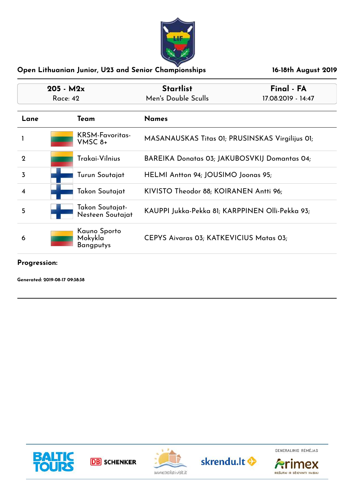

| $205 - M2x$<br><b>Race: 42</b> |  |                                             | <b>Startlist</b><br>Final - FA<br>Men's Double Sculls<br>17.08.2019 - 14:47 |  |
|--------------------------------|--|---------------------------------------------|-----------------------------------------------------------------------------|--|
| Lane                           |  | Team                                        | <b>Names</b>                                                                |  |
|                                |  | <b>KRSM-Favoritas-</b><br>$V$ MSC $8+$      | MASANAUSKAS Titas 01; PRUSINSKAS Virgilijus 01;                             |  |
| $\mathbf 2$                    |  | Trakai-Vilnius                              | BAREIKA Donatas 03; JAKUBOSVKIJ Domantas 04;                                |  |
| 3                              |  | Turun Soutajat                              | HELMI Antton 94; JOUSIMO Joonas 95;                                         |  |
|                                |  | Takon Soutajat                              | KIVISTO Theodor 88; KOIRANEN Antti 96;                                      |  |
| 5                              |  | Takon Soutajat-<br>Nesteen Soutajat         | KAUPPI Jukka-Pekka 81; KARPPINEN Olli-Pekka 93;                             |  |
| 6                              |  | Kauno Sporto<br>Mokykla<br><b>Bangputys</b> | CEPYS Aivaras 03; KATKEVICIUS Matas 03;                                     |  |

**Progression:**

**Generated: 2019-08-17 09:38:38**









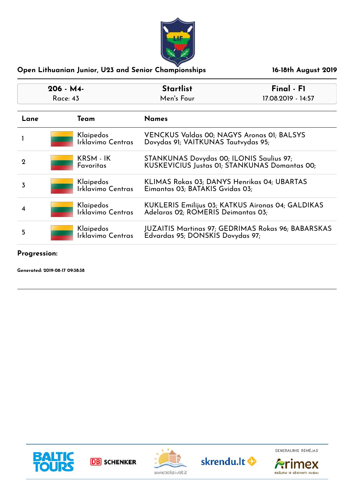

| $206 - M4$<br>Race: 43 |  |                                       | <b>Startlist</b><br>Men's Four                                                            | Final - F1<br>17.08.2019 - 14:57                   |
|------------------------|--|---------------------------------------|-------------------------------------------------------------------------------------------|----------------------------------------------------|
|                        |  |                                       |                                                                                           |                                                    |
| Lane                   |  | Team                                  | <b>Names</b>                                                                              |                                                    |
|                        |  | Klaipedos<br><b>Irklavimo Centras</b> | VENCKUS Valdas 00; NAGYS Aronas 01; BALSYS<br>Dovydas 91; VAITKUNAS Tautvydas 95;         |                                                    |
| 2                      |  | KRSM - IK<br><b>Favoritas</b>         | STANKUNAS Dovydas 00; ILONIS Saulius 97;<br>KUSKEVICIUS Justas 01; STANKUNAS Domantas 00; |                                                    |
| 3                      |  | Klaipedos<br>Irklavimo Centras        | KLIMAS Rokas 03; DANYS Henrikas 04; UBARTAS<br>Eimantas 03; BATAKIS Gvidas 03;            |                                                    |
|                        |  | Klaipedos<br>Irklavimo Centras        | Adelaras 02; ROMERIS Deimantas 03;                                                        | KUKLERIS Emilijus 03; KATKUS Aironas 04; GALDIKAS  |
| 5                      |  | Klaipedos<br>Irklavimo Centras        | Edvardas 95; DONSKIS Dovydas 97;                                                          | JUZAITIS Martinas 97; GEDRIMAS Rokas 96; BABARSKAS |

**Progression:**

**Generated: 2019-08-17 09:38:38**



**DB** SCHENKER





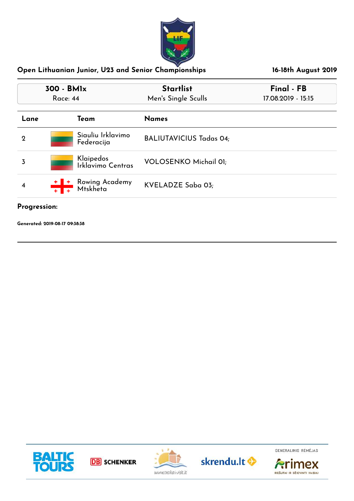

| 300 - BMIx<br><b>Race: 44</b> |                                          | <b>Startlist</b><br>Men's Single Sculls | Final - FB<br>17.08.2019 - 15:15 |  |
|-------------------------------|------------------------------------------|-----------------------------------------|----------------------------------|--|
| Lane                          | Team                                     | <b>Names</b>                            |                                  |  |
| $\mathbf 2$                   | Siauliu Irklavimo<br>Federacija          | <b>BALIUTAVICIUS Tadas 04;</b>          |                                  |  |
| 3                             | Klaipedos<br>Irklavimo Centras           | <b>VOLOSENKO Michail 01;</b>            |                                  |  |
| 4                             | Rowing Academy<br>Mtskheta<br><u>+1+</u> | KVELADZE Saba 03;                       |                                  |  |

## **Progression:**

**Generated: 2019-08-17 09:38:38**









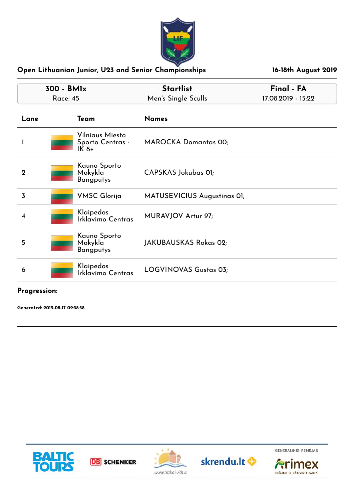

| 300 - BMIx     |                                                | <b>Startlist</b>             | Final - FA         |
|----------------|------------------------------------------------|------------------------------|--------------------|
|                | <b>Race: 45</b>                                | Men's Single Sculls          | 17.08.2019 - 15:22 |
| Lane           | Team                                           | <b>Names</b>                 |                    |
|                | Vilniaus Miesto<br>Sporto Centras -<br>$IK 8+$ | <b>MAROCKA Domantas 00;</b>  |                    |
| $\mathbf{2}$   | Kauno Sporto<br>Mokykla<br><b>Bangputys</b>    | CAPSKAS Jokubas OI;          |                    |
| $\overline{3}$ | <b>VMSC Glorija</b>                            | MATUSEVICIUS Augustinas OI;  |                    |
| 4              | Klaipedos<br>Irklavimo Centras                 | MURAVJOV Artur 97;           |                    |
| 5              | Kauno Sporto<br>Mokykla<br>Bangputys           | JAKUBAUSKAS Rokas 02;        |                    |
| 6              | Klaipedos<br>Irklavimo Centras                 | <b>LOGVINOVAS Gustas 03;</b> |                    |

**Progression:**

**Generated: 2019-08-17 09:38:38**



**DB** SCHENKER





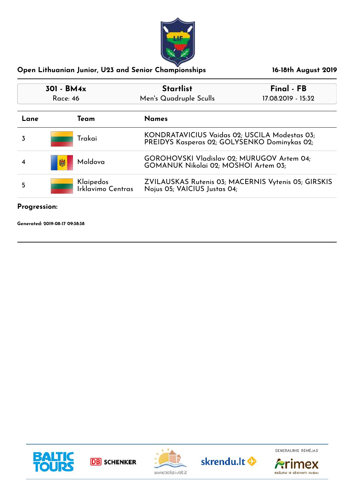

| <b>Startlist</b><br>301 - BM4x<br>Men's Quadruple Sculls<br><b>Race: 46</b> |                                | Final - FB<br>17.08.2019 - 15:32                                                              |  |
|-----------------------------------------------------------------------------|--------------------------------|-----------------------------------------------------------------------------------------------|--|
|                                                                             |                                |                                                                                               |  |
| Lane                                                                        | Team                           | <b>Names</b>                                                                                  |  |
| 3                                                                           | Trakai                         | KONDRATAVICIUS Vaidas 02; USCILA Modestas 03;<br>PREIDYS Kasperas 02; GOLYSENKO Dominykas 02; |  |
|                                                                             | Moldova<br>嬾                   | GOROHOVSKI Vladislav 02; MURUGOV Artem 04;<br>GOMANUK Nikolai 02; MOSHOI Artem 03;            |  |
| 5                                                                           | Klaipedos<br>Irklavimo Centras | ZVILAUSKAS Rutenis 03; MACERNIS Vytenis 05; GIRSKIS<br>Nojus 05; VAICIUS Justas 04;           |  |

## **Progression:**

**Generated: 2019-08-17 09:38:38**









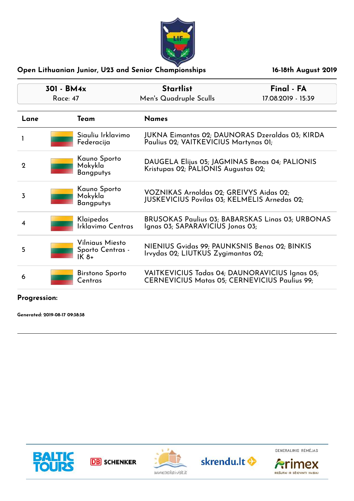

| 301 - BM4x<br>Race: 47 |  |                                               | <b>Startlist</b><br>Men's Quadruple Sculls                                                             | Final - FA<br>17.08.2019 - 15:39 |
|------------------------|--|-----------------------------------------------|--------------------------------------------------------------------------------------------------------|----------------------------------|
| Lane                   |  | Team                                          | <b>Names</b>                                                                                           |                                  |
|                        |  | Siauliu Irklavimo<br>Federacija               | JUKNA Eimantas 02; DAUNORAS Dzeraldas 03; KIRDA<br>Paulius 02; VAITKEVICIUS Martynas 01;               |                                  |
| $\mathbf 2$            |  | Kauno Sporto<br>Mokykla<br><b>Bangputys</b>   | DAUGELA Elijus 05; JAGMINAS Benas 04; PALIONIS<br>Kristupas 02; PALIONIS Augustas 02;                  |                                  |
| 3                      |  | Kauno Sporto<br>Mokykla<br><b>Bangputys</b>   | VOZNIKAS Arnoldas 02; GREIVYS Aidas 02;<br>JUSKEVICIUS Povilas 03; KELMELIS Arnedas 02;                |                                  |
| 4                      |  | Klaipedos<br>Irklavimo Centras                | <b>BRUSOKAS Paulius 03; BABARSKAS Linas 03; URBONAS</b><br>Ignas 03; SAPARAVICIUS Jonas 03;            |                                  |
| 5                      |  | Vilniaus Miesto<br>Sporto Centras -<br>$IK8+$ | NIENIUS Gvidas 99; PAUNKSNIS Benas 02; BINKIS<br>Irvydas 02; LIUTKUS Zygimantas 02;                    |                                  |
| 6                      |  | Birstono Sporto<br>Centras                    | VAITKEVICIUS Tadas 04; DAUNORAVICIUS Ignas 05;<br><b>CERNEVICIUS Matas 05; CERNEVICIUS Paulius 99;</b> |                                  |

# **Progression:**

**Generated: 2019-08-17 09:38:38**









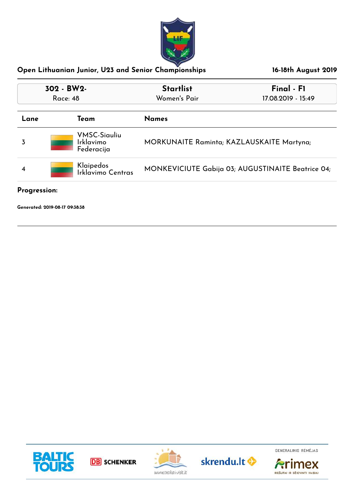

| 302 - BW2-<br><b>Race: 48</b> |                                                       | <b>Startlist</b><br>Women's Pair                  | Final - F1<br>17.08.2019 - 15:49 |
|-------------------------------|-------------------------------------------------------|---------------------------------------------------|----------------------------------|
| Lane                          | Team                                                  | <b>Names</b>                                      |                                  |
| 3                             | <b>VMSC-Siauliu</b><br><b>Irklavimo</b><br>Federacija | MORKUNAITE Raminta; KAZLAUSKAITE Martyna;         |                                  |
|                               | Klaipedos<br>Irklavimo Centras                        | MONKEVICIUTE Gabija 03; AUGUSTINAITE Beatrice 04; |                                  |

**Progression:**

**Generated: 2019-08-17 09:38:38**









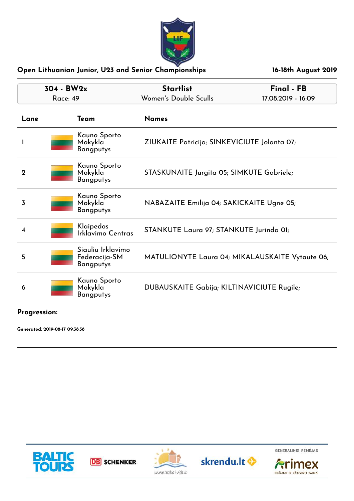

| $304 - BW2x$<br><b>Race: 49</b> |  |                                                        | <b>Startlist</b><br>Women's Double Sculls       | Final - FB<br>17.08.2019 - 16:09 |
|---------------------------------|--|--------------------------------------------------------|-------------------------------------------------|----------------------------------|
| Lane                            |  | Team                                                   | <b>Names</b>                                    |                                  |
| 1                               |  | Kauno Sporto<br>Mokykla<br>Bangputys                   | ZIUKAITE Patricija; SINKEVICIUTE Jolanta 07;    |                                  |
| $\mathbf 2$                     |  | Kauno Sporto<br>Mokykla<br>Bangputys                   | STASKUNAITE Jurgita 05; SIMKUTE Gabriele;       |                                  |
| 3                               |  | Kauno Sporto<br>Mokykla<br><b>Bangputys</b>            | NABAZAITE Emilija 04; SAKICKAITE Ugne 05;       |                                  |
| 4                               |  | Klaipedos<br>Irklavimo Centras                         | STANKUTE Laura 97; STANKUTE Jurinda OI;         |                                  |
| 5.                              |  | Siauliu Irklavimo<br>Federacija-SM<br><b>Bangputys</b> | MATULIONYTE Laura 04; MIKALAUSKAITE Vytaute 06; |                                  |
| 6                               |  | Kauno Sporto<br>Mokykla<br>Bangputys                   | DUBAUSKAITE Gabija; KILTINAVICIUTE Rugile;      |                                  |

## **Progression:**

**Generated: 2019-08-17 09:38:38**



**DB** SCHENKER





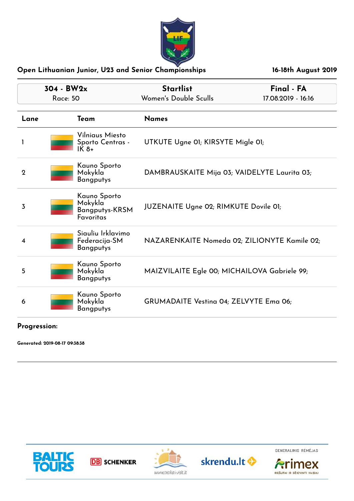

| $304 - BW2x$<br><b>Race: 50</b> |                                                                                   | <b>Startlist</b><br>Women's Double Sculls     | Final - FA<br>17.08.2019 - 16:16 |
|---------------------------------|-----------------------------------------------------------------------------------|-----------------------------------------------|----------------------------------|
| Lane                            | Team                                                                              | <b>Names</b>                                  |                                  |
| 1                               | Vilniaus Miesto<br>Sporto Centras -<br>IK 8+                                      | UTKUTE Ugne 01; KIRSYTE Migle 01;             |                                  |
| $\mathbf 2$                     | Kauno Sporto<br>Mokykla<br><b>Bangputys</b>                                       | DAMBRAUSKAITE Mija 03; VAIDELYTE Laurita 03;  |                                  |
| 3                               | Kauno Sporto<br>Mokykla <sup>-</sup><br><b>Bangputys-KRSM</b><br><b>Favoritas</b> | <b>JUZENAITE Ugne 02; RIMKUTE Dovile 01;</b>  |                                  |
| 4                               | Siauliu Irklavimo<br>Federacija-SM<br><b>Bangputys</b>                            | NAZARENKAITE Nomeda 02; ZILIONYTE Kamile 02;  |                                  |
| 5                               | Kauno Sporto<br>Mokykla<br><b>Bangputys</b>                                       | MAIZVILAITE Egle 00; MICHAILOVA Gabriele 99;  |                                  |
| 6                               | Kauno Sporto<br>Mokykla<br><b>Bangputys</b>                                       | <b>GRUMADAITE Vesting 04; ZELVYTE Emg 06;</b> |                                  |

#### **Progression:**

**Generated: 2019-08-17 09:38:38**



**DB** SCHENKER





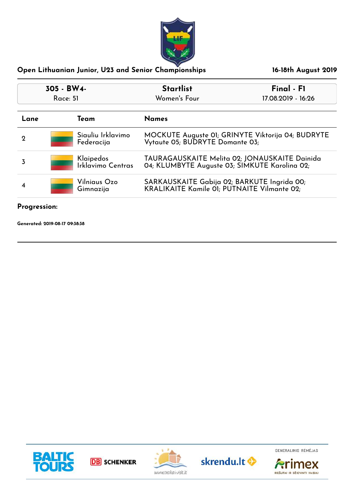

| 305 - BW4-<br>Race: 51 |                                 | <b>Startlist</b>                                                                           | Final - F1                                                                                     |  |
|------------------------|---------------------------------|--------------------------------------------------------------------------------------------|------------------------------------------------------------------------------------------------|--|
|                        |                                 | Women's Four                                                                               | 17.08.2019 - 16:26                                                                             |  |
| Lane                   | Team                            | <b>Names</b>                                                                               |                                                                                                |  |
| 2                      | Siauliu Irklavimo<br>Federacija |                                                                                            | MOCKUTE Auguste 01; GRINYTE Viktorija 04; BUDRYTE<br>Vytaute 05; BUDRYTE Domante 03;           |  |
| 3                      | Klaipedos<br>Irklavimo Centras  |                                                                                            | TAURAGAUSKAITE Melita 02; JONAUSKAITE Dainida<br>04; KLUMBYTE Auguste 03; SIMKUTE Karolina 02; |  |
|                        | Vilniaus Ozo<br>Gimnazija       | SARKAUSKAITE Gabija 02; BARKUTE Ingrida 00;<br>KRALIKAITE Kamile 01; PUTNAITE Vilmante 02; |                                                                                                |  |

## **Progression:**

**Generated: 2019-08-17 09:38:38**